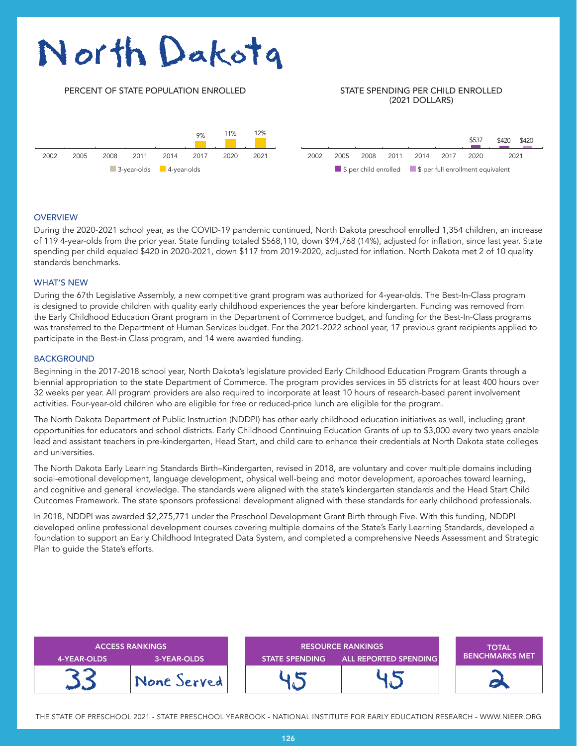# North Dakota

# 2002 2002 PERCENT OF STATE POPULATION ENROLLED STATE SPENDING PER CHILD ENROLLED (2021 DOLLARS) 2002 2005 2008 2011 2014 2017 2020 2021 2002 2005 2008 2011 2014 2017 2020 2021 9% 11% 12% \$537 \$420 \$420 ■ 3-year-olds ■ 4-year-olds ■ \$ per child enrolled ■ \$ per full enrollment equivalent

#### **OVERVIEW**

During the 2020-2021 school year, as the COVID-19 pandemic continued, North Dakota preschool enrolled 1,354 children, an increase of 119 4-year-olds from the prior year. State funding totaled \$568,110, down \$94,768 (14%), adjusted for inflation, since last year. State spending per child equaled \$420 in 2020-2021, down \$117 from 2019-2020, adjusted for inflation. North Dakota met 2 of 10 quality standards benchmarks.

#### WHAT'S NEW

During the 67th Legislative Assembly, a new competitive grant program was authorized for 4-year-olds. The Best-In-Class program is designed to provide children with quality early childhood experiences the year before kindergarten. Funding was removed from the Early Childhood Education Grant program in the Department of Commerce budget, and funding for the Best-In-Class programs was transferred to the Department of Human Services budget. For the 2021-2022 school year, 17 previous grant recipients applied to participate in the Best-in Class program, and 14 were awarded funding.

#### **BACKGROUND**

Beginning in the 2017-2018 school year, North Dakota's legislature provided Early Childhood Education Program Grants through a biennial appropriation to the state Department of Commerce. The program provides services in 55 districts for at least 400 hours over 32 weeks per year. All program providers are also required to incorporate at least 10 hours of research-based parent involvement activities. Four-year-old children who are eligible for free or reduced-price lunch are eligible for the program.

The North Dakota Department of Public Instruction (NDDPI) has other early childhood education initiatives as well, including grant opportunities for educators and school districts. Early Childhood Continuing Education Grants of up to \$3,000 every two years enable lead and assistant teachers in pre-kindergarten, Head Start, and child care to enhance their credentials at North Dakota state colleges and universities.

The North Dakota Early Learning Standards Birth–Kindergarten, revised in 2018, are voluntary and cover multiple domains including social-emotional development, language development, physical well-being and motor development, approaches toward learning, and cognitive and general knowledge. The standards were aligned with the state's kindergarten standards and the Head Start Child Outcomes Framework. The state sponsors professional development aligned with these standards for early childhood professionals.

In 2018, NDDPI was awarded \$2,275,771 under the Preschool Development Grant Birth through Five. With this funding, NDDPI developed online professional development courses covering multiple domains of the State's Early Learning Standards, developed a foundation to support an Early Childhood Integrated Data System, and completed a comprehensive Needs Assessment and Strategic Plan to guide the State's efforts.

| <b>ACCESS RANKINGS</b> |             | <b>RESOURCE RANKINGS</b> |                       | <b>TOTAL</b><br><b>BENCHMARKS MET</b> |
|------------------------|-------------|--------------------------|-----------------------|---------------------------------------|
| 4-YEAR-OLDS            | 3-YEAR-OLDS | <b>STATE SPENDING</b>    | ALL REPORTED SPENDING |                                       |
|                        | None Served |                          |                       |                                       |

THE STATE OF PRESCHOOL 2021 - STATE PRESCHOOL YEARBOOK - NATIONAL INSTITUTE FOR EARLY EDUCATION RESEARCH - WWW.NIEER.ORG